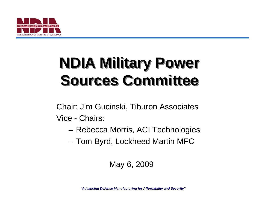

# **NDIA Military Power NDIA Military Power Sources Committee Sources Committee**

Chair: Jim Gucinski, Tiburon Associates Vice - Chairs:

- Rebecca Morris, ACI Technologies
- Tom Byrd, Lockheed Martin MFC

#### May 6, 2009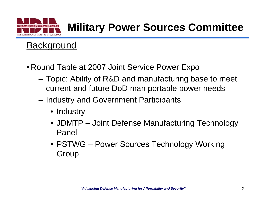

#### **Background**

- Round Table at 2007 Joint Service Power Expo
	- Topic: Ability of R&D and manufacturing base to meet current and future DoD man portable power needs
	- Industry and Government Participants
		- Industry
		- JDMTP Joint Defense Manufacturing Technology Panel
		- PSTWG Power Sources Technology Working Group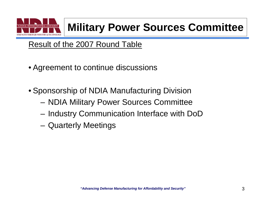

#### Result of the 2007 Round Table

- Agreement to continue discussions
- Sponsorship of NDIA Manufacturing Division
	- NDIA Military Power Sources Committee
	- Industry Communication Interface with DoD
	- Quarterly Meetings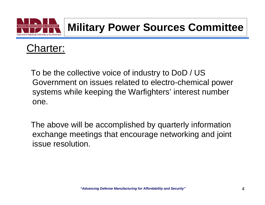



To be the collective voice of industry to DoD / US Government on issues related to electro-chemical power systems while keeping the Warfighters' interest number one.

The above will be accomplished by quarterly information exchange meetings that encourage networking and joint issue resolution.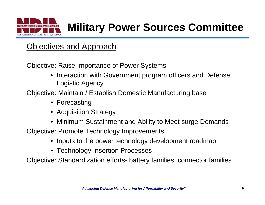

#### **Objectives and Approach**

Objective: Raise Importance of Power Systems

• Interaction with Government program officers and Defense Logistic Agency

Objective: Maintain / Establish Domestic Manufacturing base

- Forecasting
- Acquisition Strategy
- Minimum Sustainment and Ability to Meet surge Demands

Objective: Promote Technology Improvements

- Inputs to the power technology development roadmap
- Technology Insertion Processes

Objective: Standardization efforts- battery families, connector families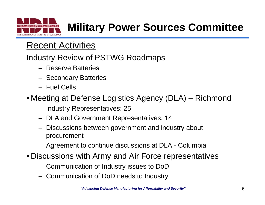

#### Recent Activities

#### Industry Review of PSTWG Roadmaps

- Reserve Batteries
- Secondary Batteries
- Fuel Cells
- Meeting at Defense Logistics Agency (DLA) Richmond
	- Industry Representatives: 25
	- DLA and Government Representatives: 14
	- Discussions between government and industry about procurement
	- Agreement to continue discussions at DLA Columbia
- Discussions with Army and Air Force representatives
	- Communication of Industry issues to DoD
	- Communication of DoD needs to Industry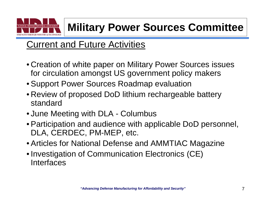

### Current and Future Activities

- Creation of white paper on Military Power Sources issues for circulation amongst US government policy makers
- Support Power Sources Roadmap evaluation
- Review of proposed DoD lithium rechargeable battery standard
- June Meeting with DLA Columbus
- Participation and audience with applicable DoD personnel, DLA, CERDEC, PM-MEP, etc.
- Articles for National Defense and AMMTIAC Magazine
- Investigation of Communication Electronics (CE) Interfaces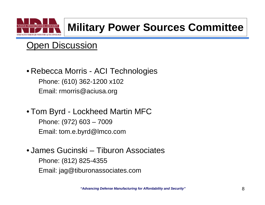

### Open Discussion

- Rebecca Morris ACI Technologies Phone: (610) 362-1200 x102 Email: rmorris@aciusa.org
- Tom Byrd Lockheed Martin MFC Phone: (972) 603 – 7009 Email: tom.e.byrd@lmco.com
- James Gucinski Tiburon AssociatesPhone: (812) 825-4355 Email: jag@tiburonassociates.com